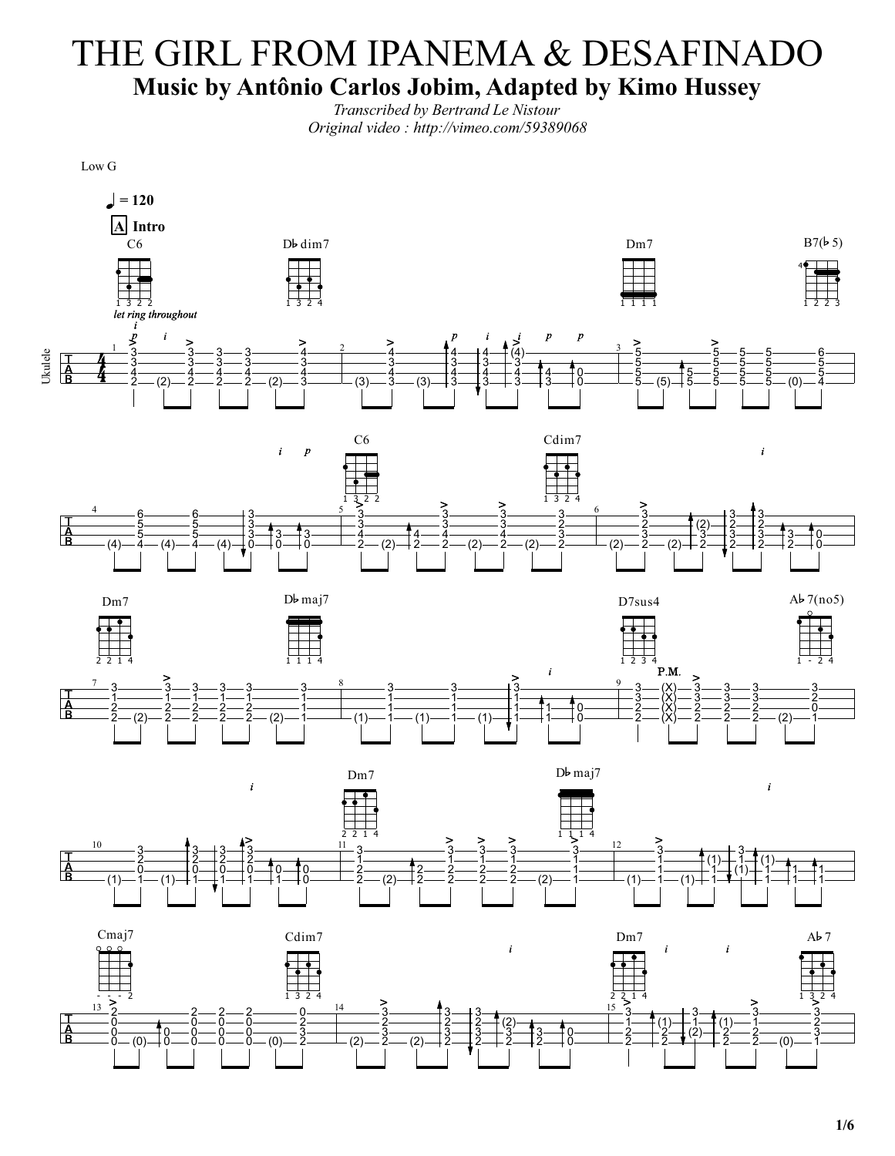# THE GIRL FROM IPANEMA & DESAFINADO Music by Antônio Carlos Jobim, Adapted by Kimo Hussey

*Transcribed by Bertrand Le Nistour Original video : http://vimeo.com/59389068*

Low G

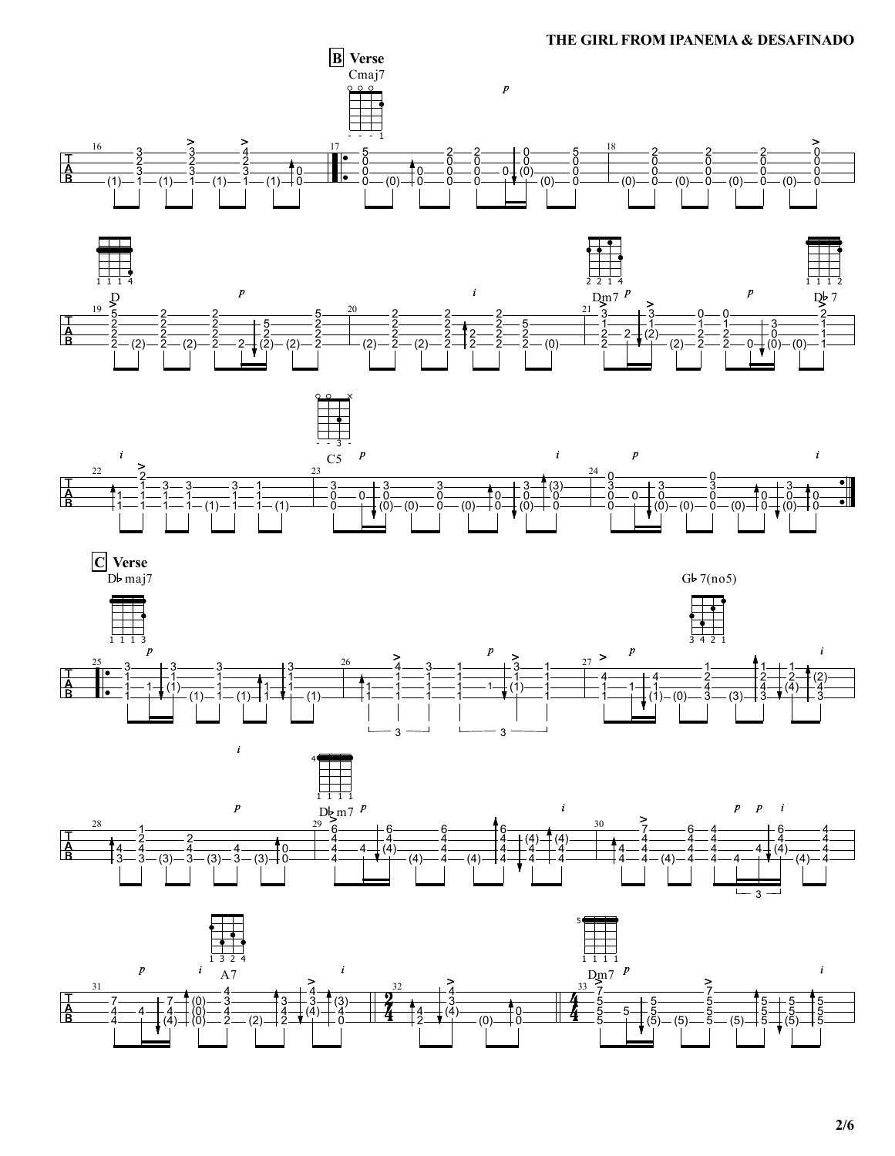









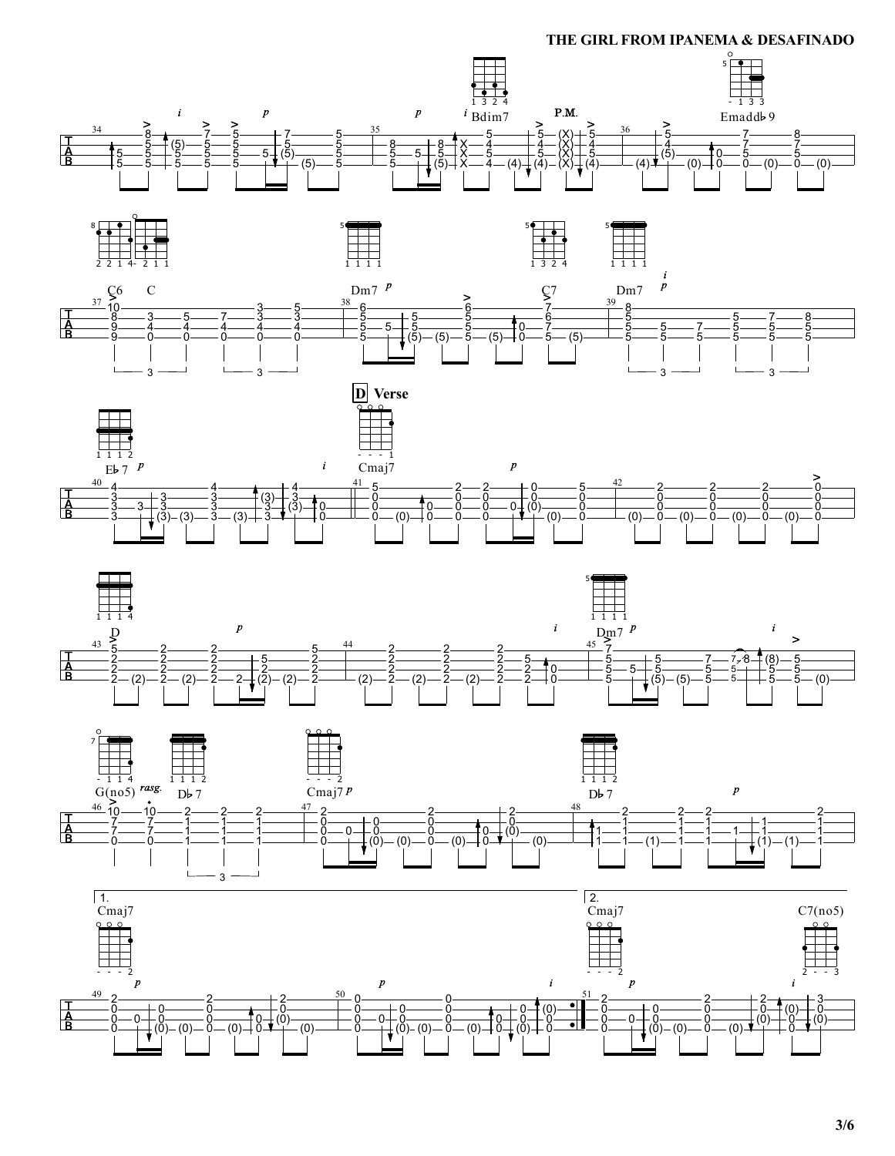## THE GIRL FROM IPANEMA & DESAFINADO











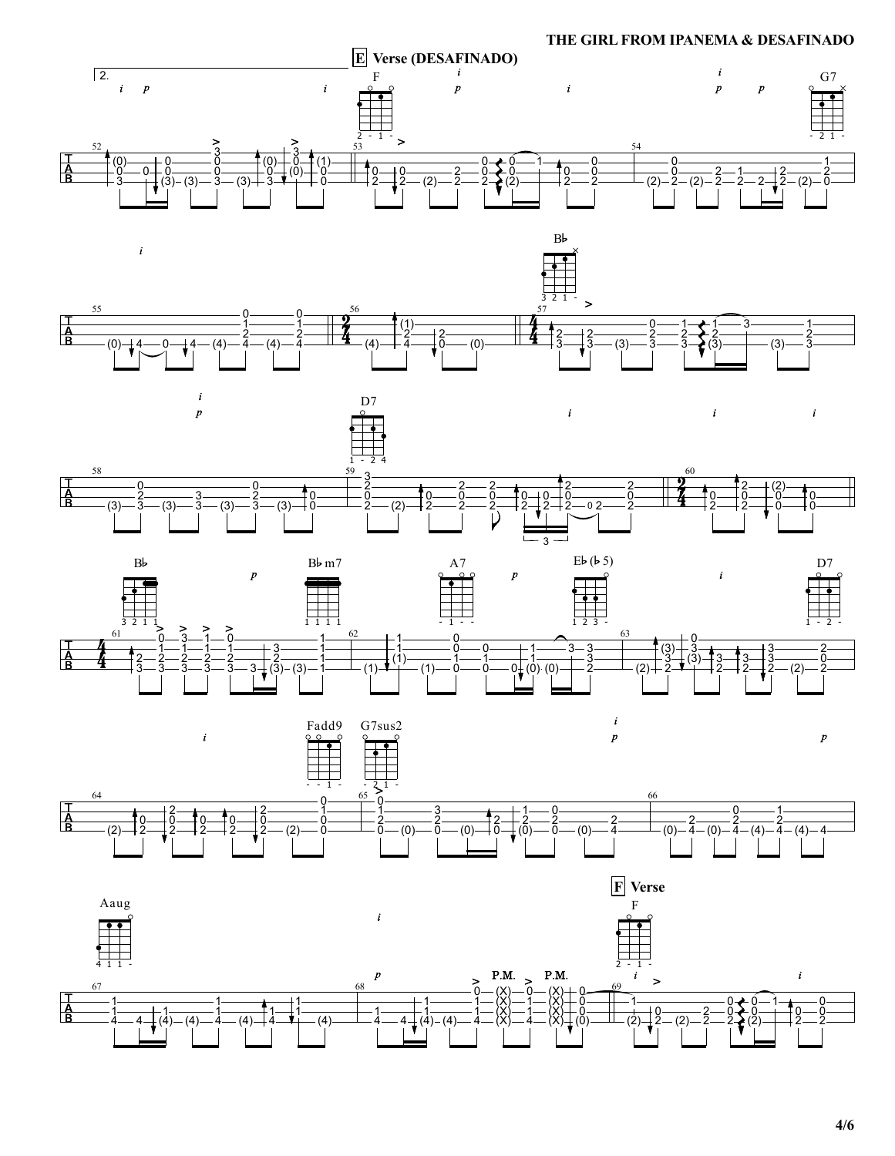### THE GIRL FROM IPANEMA & DESAFINADO  $\begin{aligned} \boxed{\mathbf{E}} \xrightarrow[\text{F}]\mathbf{V} \text{erse (DESAFINADO)} \end{aligned}$  $\begin{array}{|c|c|}\n\hline\n2. & p\n\end{array}$  $\boldsymbol{i}$  $\begin{array}{ccc}\nF & & & & \rightarrow \\
\hline\n\end{array}$  $\begin{array}{c}\nG7 \\
\hline\n\end{array}$ <br>- 2 1 - $\boldsymbol{i}$  $\boldsymbol{i}$  $\overline{p}$  $\overline{p}$   $3 - 1 - 3 - 1$  $3 - \frac{33}{1}$  $\frac{1}{6}$ (0) <sup>0</sup> 0 — 0— t (C  $\stackrel{0}{\overbrace{0}} \stackrel{=}{\overbrace{0}} + \stackrel{0}{\overbrace{0}} \stackrel{=}{\overbrace{0}} \stackrel{=}{\overbrace{0}}$  $(0) + 0 = (1)$  $\stackrel{0}{\sqrt{}}$  (1)  $\stackrel{+}{\sqrt{}}$  $0 \rightarrow 0 - 1$  $\frac{1}{2}$  1  $\rightarrow$   $\frac{1}{2}$   $\rightarrow$   $\frac{1}{2}$  $\delta$  of  $\delta$  of  $\delta$  of  $\delta$  of  $\delta$  of  $\delta$  of  $\delta$  of  $\delta$  of  $\delta$  of  $\delta$  of  $\delta$  of  $\delta$  of  $\delta$  of  $\delta$  of  $\delta$  of  $\delta$  of  $\delta$  of  $\delta$  of  $\delta$  of  $\delta$  of  $\delta$  of  $\delta$  of  $\delta$  of  $\delta$  of  $\delta$  of  $\delta$  of  $\delta$  of  $\delta$   $\overline{0}$   $\overline{0}$   $\overline{0}$   $\overline{0}$   $\overline{0}$   $\overline{0}$   $\overline{0}$   $\overline{0}$   $\overline{0}$   $\overline{0}$   $\overline{0}$   $\overline{0}$   $\overline{0}$   $\overline{0}$   $\overline{0}$   $\overline{0}$   $\overline{0}$   $\overline{0}$   $\overline{0}$   $\overline{0}$   $\overline{0}$   $\overline{0}$   $\overline{0}$   $\overline{0}$   $\overline{$  $1 \rightarrow$  $0 - 0 + 0 - 0$  $0 - 0 - 0$  $\frac{1}{2}$  (0)  $\frac{1}{2}$  (0)  $\frac{1}{2}$  $\tilde{0}$   $\rightarrow$   $(0)$   $\rightarrow$   $\tilde{0}$   $\rightarrow$   $\rightarrow$   $\rightarrow$  $(0) + 2 - 7 - 7 - 2 - 2$  $0 - 2 - 0$  $2 - 0$   $\rightarrow 0$   $\rightarrow$  $\delta$   $\rightarrow$   $\delta$   $\rightarrow$   $\rightarrow$   $\delta$   $\rightarrow$  $\ddot{\text{o}}$   $\rightarrow$   $\ddot{\text{o}}$   $\rightarrow$   $\ddot{\text{o}}$   $\rightarrow$  $\overline{0}$   $\overline{0}$   $\overline{0}$   $\overline{0}$   $\overline{0}$   $\overline{0}$   $\overline{0}$   $\overline{0}$   $\overline{0}$   $\overline{0}$   $\overline{0}$   $\overline{0}$   $\overline{0}$   $\overline{0}$   $\overline{0}$   $\overline{0}$   $\overline{0}$   $\overline{0}$   $\overline{0}$   $\overline{0}$   $\overline{0}$   $\overline{0}$   $\overline{0}$   $\overline{0}$   $\overline{$  $\frac{0}{2}$  $0 - 2 - 1 - 1$  2 1  $2 \rightarrow 2$  $2 \rightarrow$  $(2) - 2 - 2 - 2$  $3 - 1 \cdot (3) - (3) - 3$  $(3)$  –  $(3)$  —  $3$  —  $(3)$  –  $3 - (3) + 3 +$   $+$   $+$   $+$   $11$   $2$   $12$   $($  $2-2-2-2-2$  $2\rightarrow 2\rightarrow (2)\rightarrow$  $2\rightarrow 2$   $\rightarrow$   $2\rightarrow$  $(2)$   $\longrightarrow$   $2-$  - 2 - 2  $(2)$  - 2 - (2) - 2  $2 - 2 - 2 - (2) - 0$  $2 - (2) - 0$  — and  $0$  and  $0$  and  $0$  and  $0$  and  $0$  and  $0$  and  $0$  and  $0$  and  $0$  and  $0$  and  $0$  and  $0$  and  $0$  and  $0$  and  $0$  and  $0$  and  $0$  and  $0$  and  $0$  and  $0$  and  $0$  and  $0$  and  $0$  and  $0$  and  $0$  and  $0$  and  $0$  a









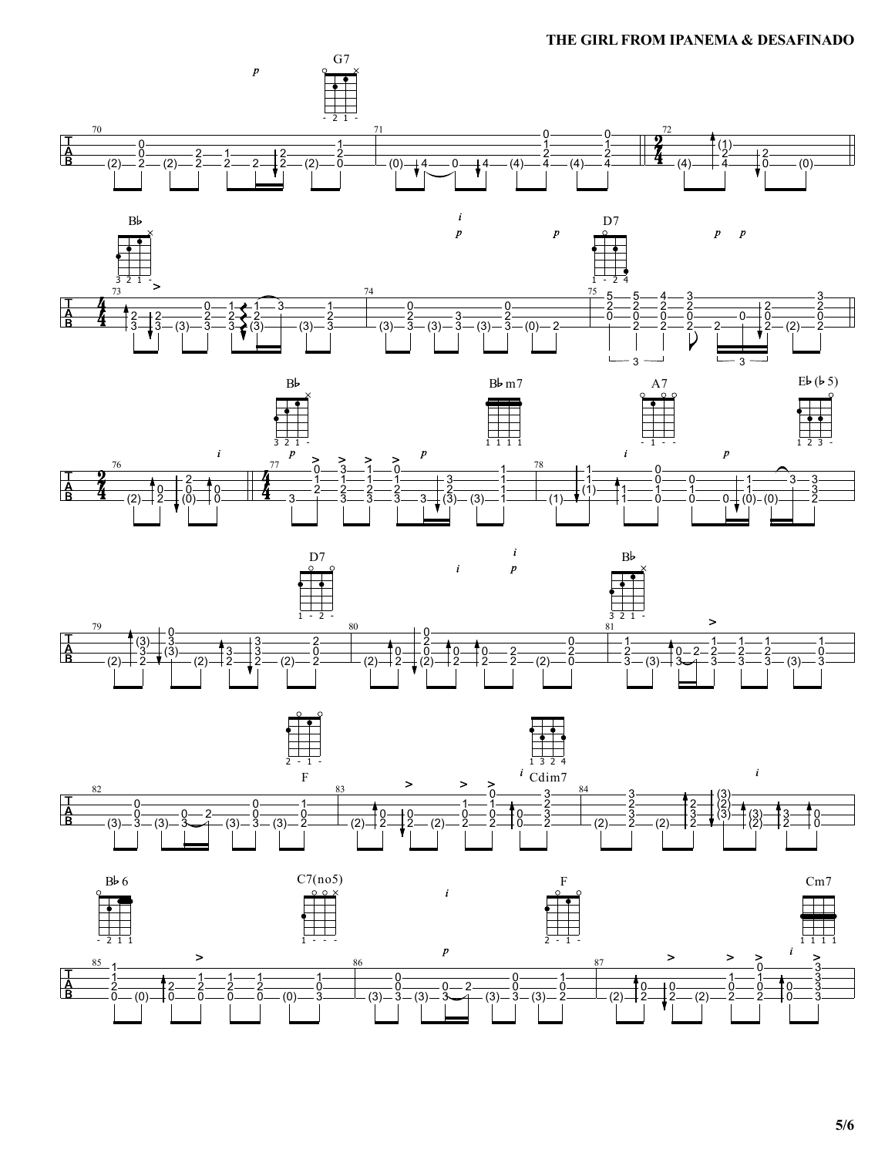## THE GIRL FROM IPANEMA & DESAFINADO